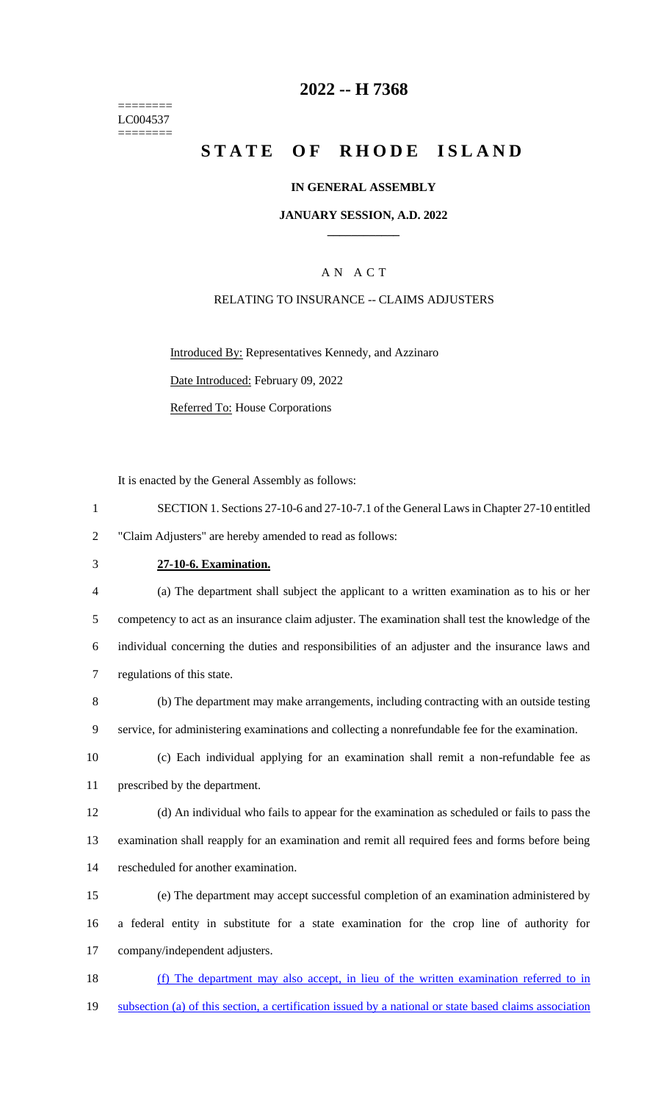======== LC004537 ========

### **2022 -- H 7368**

# **STATE OF RHODE ISLAND**

#### **IN GENERAL ASSEMBLY**

#### **JANUARY SESSION, A.D. 2022 \_\_\_\_\_\_\_\_\_\_\_\_**

### A N A C T

### RELATING TO INSURANCE -- CLAIMS ADJUSTERS

Introduced By: Representatives Kennedy, and Azzinaro Date Introduced: February 09, 2022 Referred To: House Corporations

It is enacted by the General Assembly as follows:

| SECTION 1. Sections 27-10-6 and 27-10-7.1 of the General Laws in Chapter 27-10 entitled |
|-----------------------------------------------------------------------------------------|
| "Claim Adjusters" are hereby amended to read as follows:                                |

### 3 **27-10-6. Examination.**

 (a) The department shall subject the applicant to a written examination as to his or her competency to act as an insurance claim adjuster. The examination shall test the knowledge of the individual concerning the duties and responsibilities of an adjuster and the insurance laws and regulations of this state.

8 (b) The department may make arrangements, including contracting with an outside testing 9 service, for administering examinations and collecting a nonrefundable fee for the examination.

10 (c) Each individual applying for an examination shall remit a non-refundable fee as 11 prescribed by the department.

12 (d) An individual who fails to appear for the examination as scheduled or fails to pass the 13 examination shall reapply for an examination and remit all required fees and forms before being 14 rescheduled for another examination.

15 (e) The department may accept successful completion of an examination administered by 16 a federal entity in substitute for a state examination for the crop line of authority for 17 company/independent adjusters.

18 (f) The department may also accept, in lieu of the written examination referred to in 19 subsection (a) of this section, a certification issued by a national or state based claims association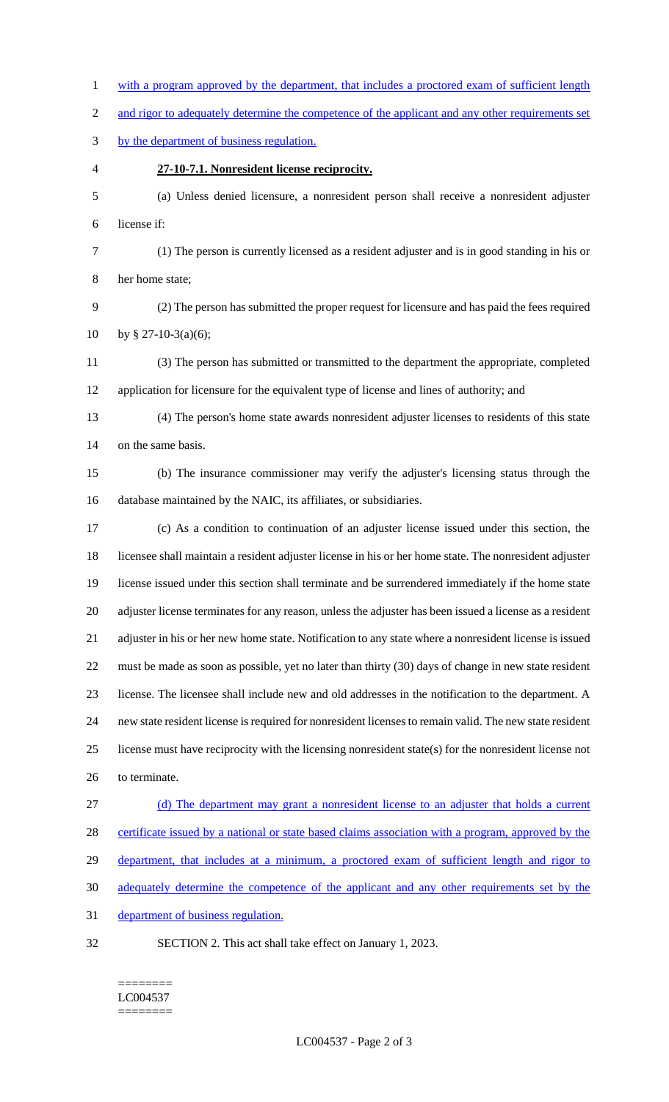1 with a program approved by the department, that includes a proctored exam of sufficient length 2 and rigor to adequately determine the competence of the applicant and any other requirements set by the department of business regulation. **27-10-7.1. Nonresident license reciprocity.** (a) Unless denied licensure, a nonresident person shall receive a nonresident adjuster license if: (1) The person is currently licensed as a resident adjuster and is in good standing in his or her home state; (2) The person has submitted the proper request for licensure and has paid the fees required 10 by § 27-10-3(a)(6); (3) The person has submitted or transmitted to the department the appropriate, completed application for licensure for the equivalent type of license and lines of authority; and (4) The person's home state awards nonresident adjuster licenses to residents of this state on the same basis. (b) The insurance commissioner may verify the adjuster's licensing status through the database maintained by the NAIC, its affiliates, or subsidiaries. (c) As a condition to continuation of an adjuster license issued under this section, the licensee shall maintain a resident adjuster license in his or her home state. The nonresident adjuster license issued under this section shall terminate and be surrendered immediately if the home state adjuster license terminates for any reason, unless the adjuster has been issued a license as a resident adjuster in his or her new home state. Notification to any state where a nonresident license is issued must be made as soon as possible, yet no later than thirty (30) days of change in new state resident license. The licensee shall include new and old addresses in the notification to the department. A new state resident license is required for nonresident licenses to remain valid. The new state resident license must have reciprocity with the licensing nonresident state(s) for the nonresident license not to terminate. (d) The department may grant a nonresident license to an adjuster that holds a current certificate issued by a national or state based claims association with a program, approved by the 29 department, that includes at a minimum, a proctored exam of sufficient length and rigor to adequately determine the competence of the applicant and any other requirements set by the department of business regulation. SECTION 2. This act shall take effect on January 1, 2023.

#### ======== LC004537 ========